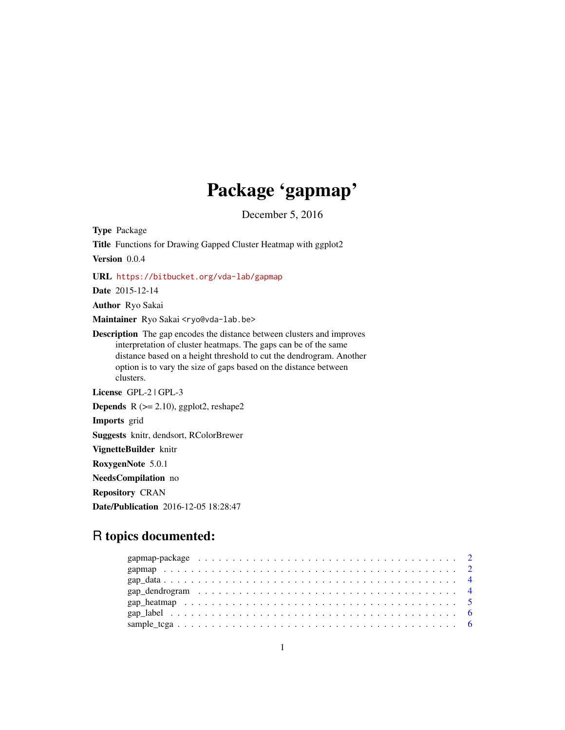# Package 'gapmap'

December 5, 2016

<span id="page-0-0"></span>Type Package Title Functions for Drawing Gapped Cluster Heatmap with ggplot2 Version 0.0.4 URL <https://bitbucket.org/vda-lab/gapmap> Date 2015-12-14 Author Ryo Sakai Maintainer Ryo Sakai <ryo@vda-lab.be> Description The gap encodes the distance between clusters and improves interpretation of cluster heatmaps. The gaps can be of the same distance based on a height threshold to cut the dendrogram. Another option is to vary the size of gaps based on the distance between clusters. License GPL-2 | GPL-3 **Depends**  $R$  ( $>= 2.10$ ), ggplot2, reshape2 Imports grid Suggests knitr, dendsort, RColorBrewer VignetteBuilder knitr RoxygenNote 5.0.1 NeedsCompilation no Repository CRAN

# R topics documented:

Date/Publication 2016-12-05 18:28:47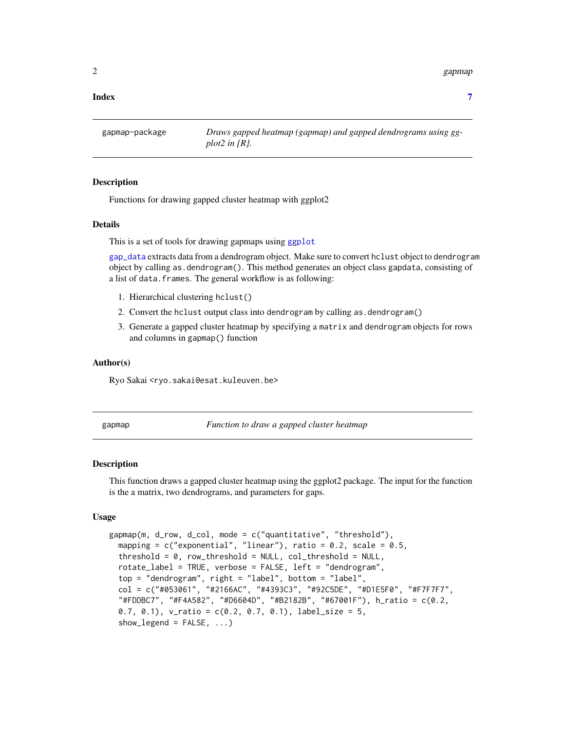<span id="page-1-0"></span>2 gapmap and the set of the set of the set of the set of the set of the set of the set of the set of the set of the set of the set of the set of the set of the set of the set of the set of the set of the set of the set of

### **Index** [7](#page-6-0) **7**

gapmap-package *Draws gapped heatmap (gapmap) and gapped dendrograms using ggplot2 in [R].*

# **Description**

Functions for drawing gapped cluster heatmap with ggplot2

# Details

This is a set of tools for drawing gapmaps using [ggplot](#page-0-0)

[gap\\_data](#page-3-1) extracts data from a dendrogram object. Make sure to convert hclust object to dendrogram object by calling as.dendrogram(). This method generates an object class gapdata, consisting of a list of data. frames. The general workflow is as following:

- 1. Hierarchical clustering hclust()
- 2. Convert the hclust output class into dendrogram by calling as.dendrogram()
- 3. Generate a gapped cluster heatmap by specifying a matrix and dendrogram objects for rows and columns in gapmap() function

# Author(s)

Ryo Sakai <ryo.sakai@esat.kuleuven.be>

gapmap *Function to draw a gapped cluster heatmap*

# Description

This function draws a gapped cluster heatmap using the ggplot2 package. The input for the function is the a matrix, two dendrograms, and parameters for gaps.

# Usage

```
gapmap(m, d_row, d_col, mode = c("quantitative", "threshold"),
 mapping = c("exponential", "linear"), ratio = 0.2, scale = 0.5,threshold = 0, row_threshold = NULL, col_threshold = NULL,
  rotate_label = TRUE, verbose = FALSE, left = "dendrogram",
 top = "dendrogram", right = "label", bottom = "label",
  col = c("#053061", "#2166AC", "#4393C3", "#92C5DE", "#D1E5F0", "#F7F7F7",
  "#FDDBC7", "#F4A582", "#D6604D", "#B2182B", "#67001F"), h_ratio = c(0.2,
  0.7, 0.1), v_{\text{ratio}} = c(0.2, 0.7, 0.1), label_size = 5,
  show\_legend = FALSE, ...)
```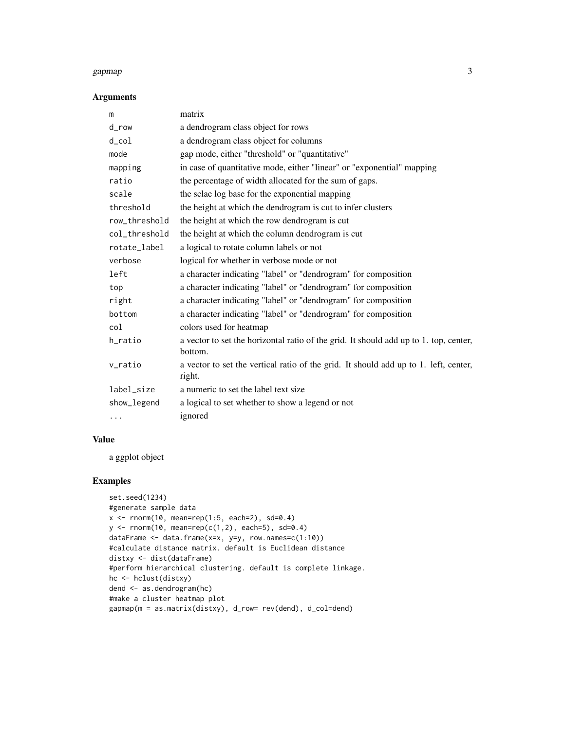## gapmap 3

# Arguments

| m             | matrix                                                                                           |
|---------------|--------------------------------------------------------------------------------------------------|
| d_row         | a dendrogram class object for rows                                                               |
| $d_{col}$     | a dendrogram class object for columns                                                            |
| mode          | gap mode, either "threshold" or "quantitative"                                                   |
| mapping       | in case of quantitative mode, either "linear" or "exponential" mapping                           |
| ratio         | the percentage of width allocated for the sum of gaps.                                           |
| scale         | the sclae log base for the exponential mapping                                                   |
| threshold     | the height at which the dendrogram is cut to infer clusters                                      |
| row_threshold | the height at which the row dendrogram is cut                                                    |
| col_threshold | the height at which the column dendrogram is cut                                                 |
| rotate_label  | a logical to rotate column labels or not                                                         |
| verbose       | logical for whether in verbose mode or not                                                       |
| left          | a character indicating "label" or "dendrogram" for composition                                   |
| top           | a character indicating "label" or "dendrogram" for composition                                   |
| right         | a character indicating "label" or "dendrogram" for composition                                   |
| bottom        | a character indicating "label" or "dendrogram" for composition                                   |
| col           | colors used for heatmap                                                                          |
| h_ratio       | a vector to set the horizontal ratio of the grid. It should add up to 1. top, center,<br>bottom. |
| v_ratio       | a vector to set the vertical ratio of the grid. It should add up to 1. left, center,<br>right.   |
| label_size    | a numeric to set the label text size                                                             |
| show_legend   | a logical to set whether to show a legend or not                                                 |
| $\cdots$      | ignored                                                                                          |

# Value

a ggplot object

# Examples

```
set.seed(1234)
#generate sample data
x \le rnorm(10, mean=rep(1:5, each=2), sd=0.4)
y \le - rnorm(10, mean=rep(c(1,2), each=5), sd=0.4)
dataFrame <- data.frame(x=x, y=y, row.names=c(1:10))
#calculate distance matrix. default is Euclidean distance
distxy <- dist(dataFrame)
#perform hierarchical clustering. default is complete linkage.
hc <- hclust(distxy)
dend <- as.dendrogram(hc)
#make a cluster heatmap plot
gapmap(m = as.matrix(distxy), d_row= rev(dend), d_col=dend)
```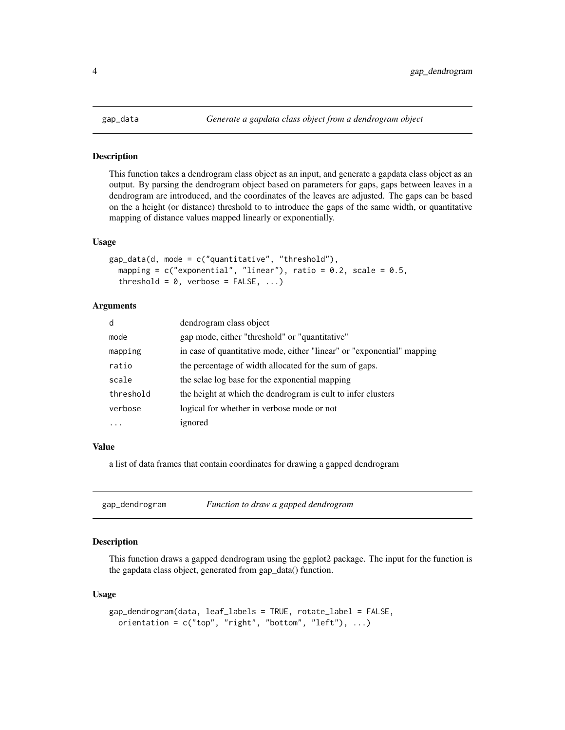<span id="page-3-1"></span><span id="page-3-0"></span>

# **Description**

This function takes a dendrogram class object as an input, and generate a gapdata class object as an output. By parsing the dendrogram object based on parameters for gaps, gaps between leaves in a dendrogram are introduced, and the coordinates of the leaves are adjusted. The gaps can be based on the a height (or distance) threshold to to introduce the gaps of the same width, or quantitative mapping of distance values mapped linearly or exponentially.

# Usage

```
gap_data(d, mode = c("quantitative", "threshold"),mapping = c("exponential", "linear"), ratio = 0.2, scale = 0.5,threshold = 0, verbose = FALSE, ...)
```
# **Arguments**

| d         | dendrogram class object                                                |
|-----------|------------------------------------------------------------------------|
| mode      | gap mode, either "threshold" or "quantitative"                         |
| mapping   | in case of quantitative mode, either "linear" or "exponential" mapping |
| ratio     | the percentage of width allocated for the sum of gaps.                 |
| scale     | the sclae log base for the exponential mapping                         |
| threshold | the height at which the dendrogram is cult to infer clusters           |
| verbose   | logical for whether in verbose mode or not                             |
| .         | ignored                                                                |

# Value

a list of data frames that contain coordinates for drawing a gapped dendrogram

| gap_dendrogram | Function to draw a gapped dendrogram |
|----------------|--------------------------------------|
|----------------|--------------------------------------|

# Description

This function draws a gapped dendrogram using the ggplot2 package. The input for the function is the gapdata class object, generated from gap\_data() function.

# Usage

```
gap_dendrogram(data, leaf_labels = TRUE, rotate_label = FALSE,
 orientation = c("top", "right", "bottom", "left"), ...
```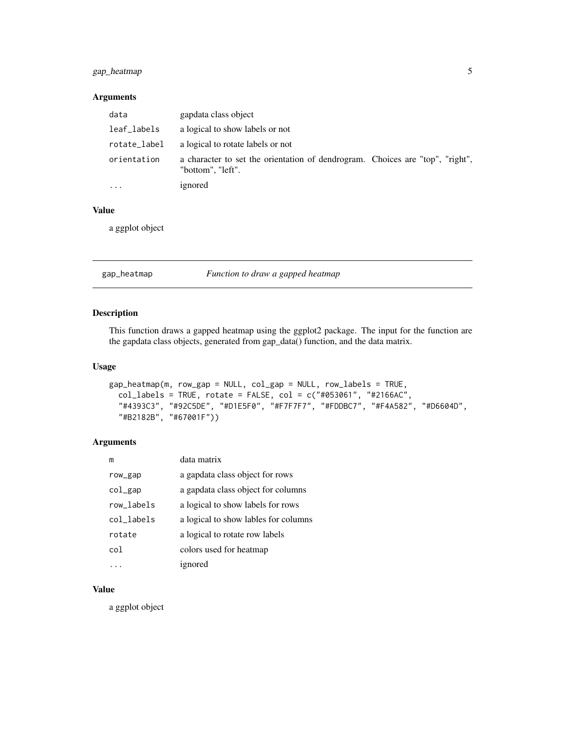# <span id="page-4-0"></span>gap\_heatmap 5

# Arguments

| data         | gapdata class object                                                                               |
|--------------|----------------------------------------------------------------------------------------------------|
| leaf_labels  | a logical to show labels or not                                                                    |
| rotate_label | a logical to rotate labels or not                                                                  |
| orientation  | a character to set the orientation of dendrogram. Choices are "top", "right",<br>"bottom", "left". |
|              | ignored                                                                                            |

# Value

a ggplot object

# gap\_heatmap *Function to draw a gapped heatmap*

# Description

This function draws a gapped heatmap using the ggplot2 package. The input for the function are the gapdata class objects, generated from gap\_data() function, and the data matrix.

#### Usage

```
gap_heatmap(m, row_gap = NULL, col_gap = NULL, row_labels = TRUE,
  col_labels = TRUE, rotate = FALSE, col = c("#053061", "#2166AC",
  "#4393C3", "#92C5DE", "#D1E5F0", "#F7F7F7", "#FDDBC7", "#F4A582", "#D6604D",
  "#B2182B", "#67001F"))
```
# Arguments

| m          | data matrix                          |
|------------|--------------------------------------|
| row_gap    | a gapdata class object for rows      |
| $col\_gap$ | a gapdata class object for columns   |
| row_labels | a logical to show labels for rows    |
| col_labels | a logical to show lables for columns |
| rotate     | a logical to rotate row labels       |
| col        | colors used for heatmap              |
|            | ignored                              |

# Value

a ggplot object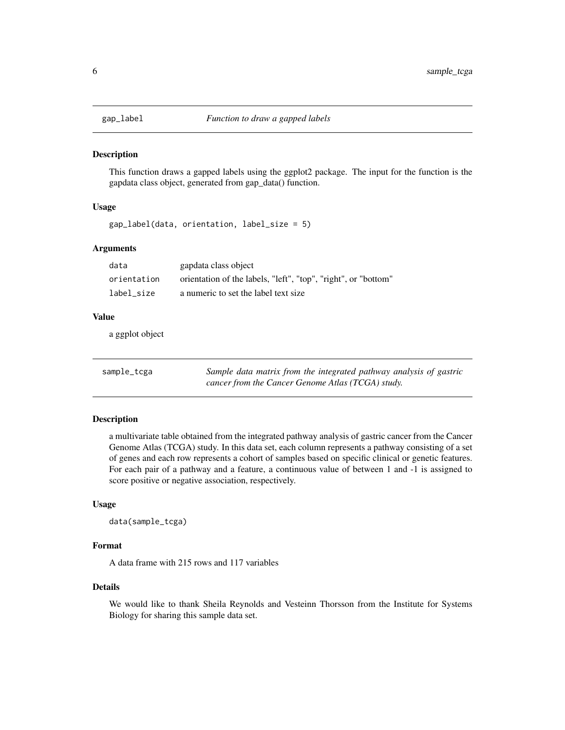<span id="page-5-0"></span>

# Description

This function draws a gapped labels using the ggplot2 package. The input for the function is the gapdata class object, generated from gap\_data() function.

# Usage

gap\_label(data, orientation, label\_size = 5)

# Arguments

| data        | gapdata class object                                           |
|-------------|----------------------------------------------------------------|
| orientation | orientation of the labels, "left", "top", "right", or "bottom" |
| label size  | a numeric to set the label text size                           |

# Value

a ggplot object

| sample_tcga | Sample data matrix from the integrated pathway analysis of gastric |
|-------------|--------------------------------------------------------------------|
|             | cancer from the Cancer Genome Atlas (TCGA) study.                  |

# Description

a multivariate table obtained from the integrated pathway analysis of gastric cancer from the Cancer Genome Atlas (TCGA) study. In this data set, each column represents a pathway consisting of a set of genes and each row represents a cohort of samples based on specific clinical or genetic features. For each pair of a pathway and a feature, a continuous value of between 1 and -1 is assigned to score positive or negative association, respectively.

# Usage

data(sample\_tcga)

# Format

A data frame with 215 rows and 117 variables

#### Details

We would like to thank Sheila Reynolds and Vesteinn Thorsson from the Institute for Systems Biology for sharing this sample data set.